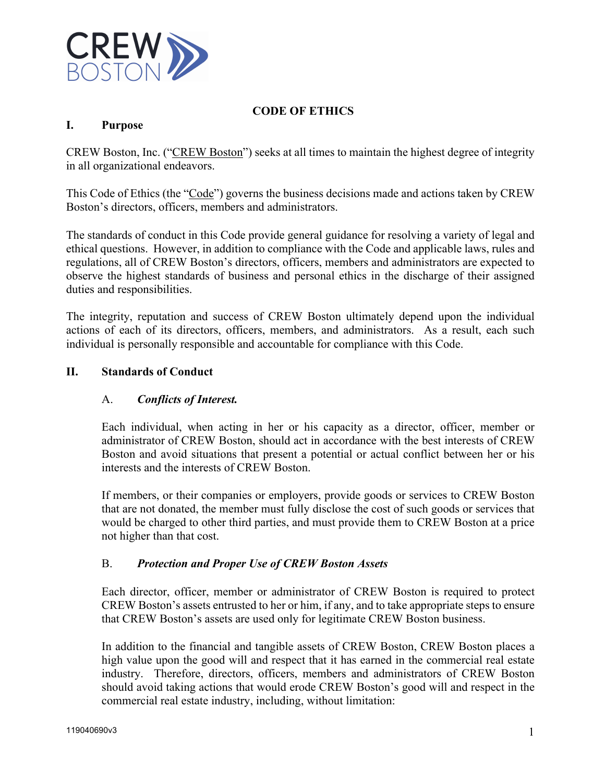

# **CODE OF ETHICS**

### **I. Purpose**

CREW Boston, Inc. ("CREW Boston") seeks at all times to maintain the highest degree of integrity in all organizational endeavors.

This Code of Ethics (the "Code") governs the business decisions made and actions taken by CREW Boston's directors, officers, members and administrators.

The standards of conduct in this Code provide general guidance for resolving a variety of legal and ethical questions. However, in addition to compliance with the Code and applicable laws, rules and regulations, all of CREW Boston's directors, officers, members and administrators are expected to observe the highest standards of business and personal ethics in the discharge of their assigned duties and responsibilities.

The integrity, reputation and success of CREW Boston ultimately depend upon the individual actions of each of its directors, officers, members, and administrators. As a result, each such individual is personally responsible and accountable for compliance with this Code.

#### **II. Standards of Conduct**

#### A. *Conflicts of Interest.*

Each individual, when acting in her or his capacity as a director, officer, member or administrator of CREW Boston, should act in accordance with the best interests of CREW Boston and avoid situations that present a potential or actual conflict between her or his interests and the interests of CREW Boston.

If members, or their companies or employers, provide goods or services to CREW Boston that are not donated, the member must fully disclose the cost of such goods or services that would be charged to other third parties, and must provide them to CREW Boston at a price not higher than that cost.

#### B. *Protection and Proper Use of CREW Boston Assets*

Each director, officer, member or administrator of CREW Boston is required to protect CREW Boston's assets entrusted to her or him, if any, and to take appropriate steps to ensure that CREW Boston's assets are used only for legitimate CREW Boston business.

In addition to the financial and tangible assets of CREW Boston, CREW Boston places a high value upon the good will and respect that it has earned in the commercial real estate industry. Therefore, directors, officers, members and administrators of CREW Boston should avoid taking actions that would erode CREW Boston's good will and respect in the commercial real estate industry, including, without limitation: